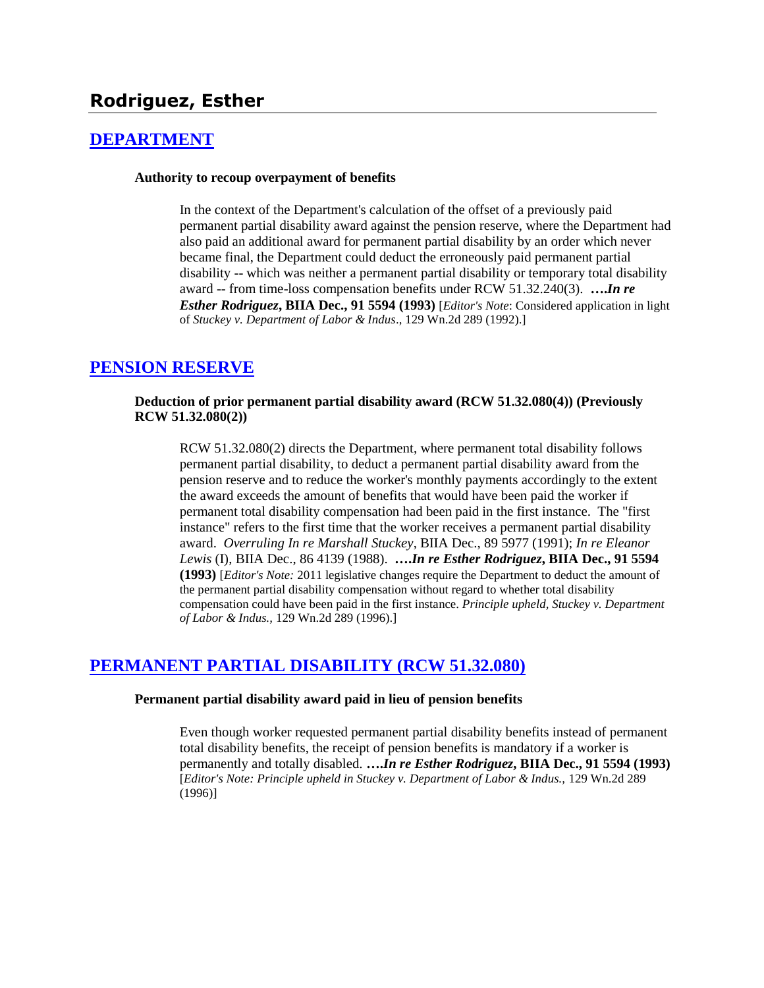# **Rodriguez, Esther**

# **[DEPARTMENT](http://www.biia.wa.gov/SDSubjectIndex.html#DEPARTMENT)**

#### **Authority to recoup overpayment of benefits**

In the context of the Department's calculation of the offset of a previously paid permanent partial disability award against the pension reserve, where the Department had also paid an additional award for permanent partial disability by an order which never became final, the Department could deduct the erroneously paid permanent partial disability -- which was neither a permanent partial disability or temporary total disability award -- from time-loss compensation benefits under RCW 51.32.240(3). **….***In re Esther Rodriguez***, BIIA Dec., 91 5594 (1993)** [*Editor's Note*: Considered application in light of *Stuckey v. Department of Labor & Indus*., 129 Wn.2d 289 (1992).]

# **[PENSION RESERVE](http://www.biia.wa.gov/SDSubjectIndex.html#PENSION_RESERVE)**

#### **Deduction of prior permanent partial disability award (RCW 51.32.080(4)) (Previously RCW 51.32.080(2))**

RCW 51.32.080(2) directs the Department, where permanent total disability follows permanent partial disability, to deduct a permanent partial disability award from the pension reserve and to reduce the worker's monthly payments accordingly to the extent the award exceeds the amount of benefits that would have been paid the worker if permanent total disability compensation had been paid in the first instance. The "first instance" refers to the first time that the worker receives a permanent partial disability award. *Overruling In re Marshall Stuckey*, BIIA Dec., 89 5977 (1991); *In re Eleanor Lewis* (I), BIIA Dec., 86 4139 (1988). **….***In re Esther Rodriguez***, BIIA Dec., 91 5594 (1993)** [*Editor's Note:* 2011 legislative changes require the Department to deduct the amount of the permanent partial disability compensation without regard to whether total disability compensation could have been paid in the first instance. *Principle upheld, Stuckey v. Department of Labor & Indus.,* 129 Wn.2d 289 (1996).]

# **[PERMANENT PARTIAL DISABILITY \(RCW 51.32.080\)](http://www.biia.wa.gov/SDSubjectIndex.html#PERMANENT_PARTIAL_DISABILITY)**

### **Permanent partial disability award paid in lieu of pension benefits**

Even though worker requested permanent partial disability benefits instead of permanent total disability benefits, the receipt of pension benefits is mandatory if a worker is permanently and totally disabled. **….***In re Esther Rodriguez***, BIIA Dec., 91 5594 (1993)**  [*Editor's Note: Principle upheld in Stuckey v. Department of Labor & Indus., 129 Wn.2d 289* (1996)]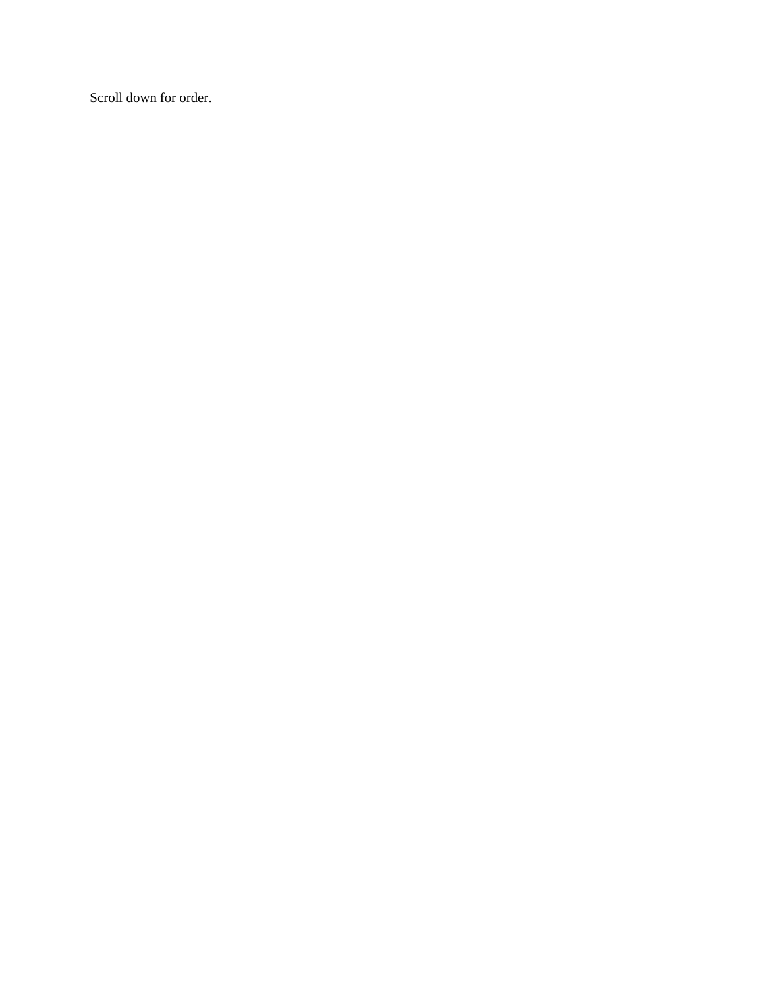Scroll down for order.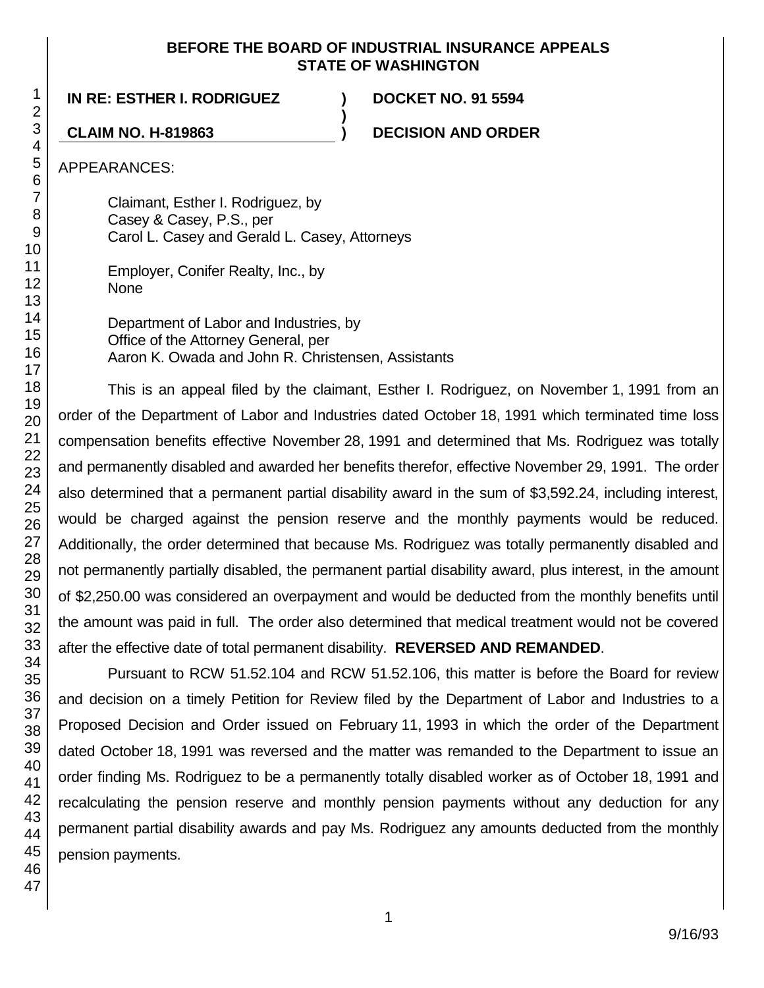# **BEFORE THE BOARD OF INDUSTRIAL INSURANCE APPEALS STATE OF WASHINGTON**

**)**

**IN RE: ESTHER I. RODRIGUEZ ) DOCKET NO. 91 5594**

**CLAIM NO. H-819863 ) DECISION AND ORDER**

APPEARANCES:

Claimant, Esther I. Rodriguez, by Casey & Casey, P.S., per Carol L. Casey and Gerald L. Casey, Attorneys

Employer, Conifer Realty, Inc., by None

Department of Labor and Industries, by Office of the Attorney General, per Aaron K. Owada and John R. Christensen, Assistants

This is an appeal filed by the claimant, Esther I. Rodriguez, on November 1, 1991 from an order of the Department of Labor and Industries dated October 18, 1991 which terminated time loss compensation benefits effective November 28, 1991 and determined that Ms. Rodriguez was totally and permanently disabled and awarded her benefits therefor, effective November 29, 1991. The order also determined that a permanent partial disability award in the sum of \$3,592.24, including interest, would be charged against the pension reserve and the monthly payments would be reduced. Additionally, the order determined that because Ms. Rodriguez was totally permanently disabled and not permanently partially disabled, the permanent partial disability award, plus interest, in the amount of \$2,250.00 was considered an overpayment and would be deducted from the monthly benefits until the amount was paid in full. The order also determined that medical treatment would not be covered after the effective date of total permanent disability. **REVERSED AND REMANDED**.

Pursuant to RCW 51.52.104 and RCW 51.52.106, this matter is before the Board for review and decision on a timely Petition for Review filed by the Department of Labor and Industries to a Proposed Decision and Order issued on February 11, 1993 in which the order of the Department dated October 18, 1991 was reversed and the matter was remanded to the Department to issue an order finding Ms. Rodriguez to be a permanently totally disabled worker as of October 18, 1991 and recalculating the pension reserve and monthly pension payments without any deduction for any permanent partial disability awards and pay Ms. Rodriguez any amounts deducted from the monthly pension payments.

1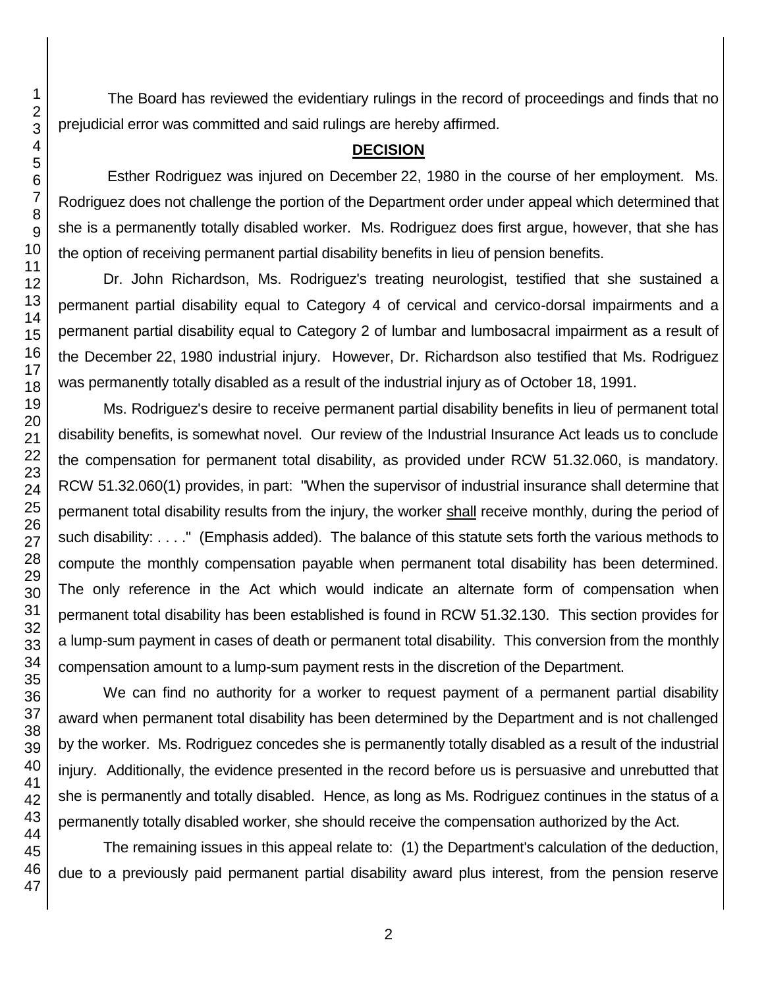The Board has reviewed the evidentiary rulings in the record of proceedings and finds that no prejudicial error was committed and said rulings are hereby affirmed.

## **DECISION**

Esther Rodriguez was injured on December 22, 1980 in the course of her employment. Ms. Rodriguez does not challenge the portion of the Department order under appeal which determined that she is a permanently totally disabled worker. Ms. Rodriguez does first argue, however, that she has the option of receiving permanent partial disability benefits in lieu of pension benefits.

Dr. John Richardson, Ms. Rodriguez's treating neurologist, testified that she sustained a permanent partial disability equal to Category 4 of cervical and cervico-dorsal impairments and a permanent partial disability equal to Category 2 of lumbar and lumbosacral impairment as a result of the December 22, 1980 industrial injury. However, Dr. Richardson also testified that Ms. Rodriguez was permanently totally disabled as a result of the industrial injury as of October 18, 1991.

Ms. Rodriguez's desire to receive permanent partial disability benefits in lieu of permanent total disability benefits, is somewhat novel. Our review of the Industrial Insurance Act leads us to conclude the compensation for permanent total disability, as provided under RCW 51.32.060, is mandatory. RCW 51.32.060(1) provides, in part: "When the supervisor of industrial insurance shall determine that permanent total disability results from the injury, the worker shall receive monthly, during the period of such disability: . . . ." (Emphasis added). The balance of this statute sets forth the various methods to compute the monthly compensation payable when permanent total disability has been determined. The only reference in the Act which would indicate an alternate form of compensation when permanent total disability has been established is found in RCW 51.32.130. This section provides for a lump-sum payment in cases of death or permanent total disability. This conversion from the monthly compensation amount to a lump-sum payment rests in the discretion of the Department.

We can find no authority for a worker to request payment of a permanent partial disability award when permanent total disability has been determined by the Department and is not challenged by the worker. Ms. Rodriguez concedes she is permanently totally disabled as a result of the industrial injury. Additionally, the evidence presented in the record before us is persuasive and unrebutted that she is permanently and totally disabled. Hence, as long as Ms. Rodriguez continues in the status of a permanently totally disabled worker, she should receive the compensation authorized by the Act.

The remaining issues in this appeal relate to: (1) the Department's calculation of the deduction, due to a previously paid permanent partial disability award plus interest, from the pension reserve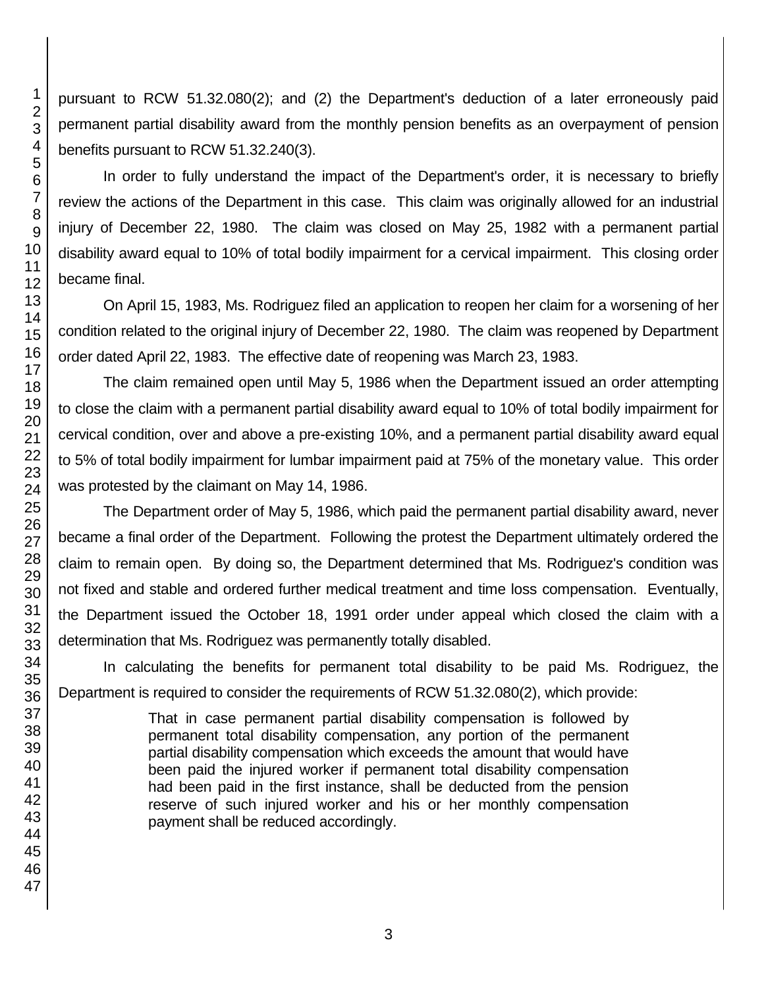pursuant to RCW 51.32.080(2); and (2) the Department's deduction of a later erroneously paid permanent partial disability award from the monthly pension benefits as an overpayment of pension benefits pursuant to RCW 51.32.240(3).

In order to fully understand the impact of the Department's order, it is necessary to briefly review the actions of the Department in this case. This claim was originally allowed for an industrial injury of December 22, 1980. The claim was closed on May 25, 1982 with a permanent partial disability award equal to 10% of total bodily impairment for a cervical impairment. This closing order became final.

On April 15, 1983, Ms. Rodriguez filed an application to reopen her claim for a worsening of her condition related to the original injury of December 22, 1980. The claim was reopened by Department order dated April 22, 1983. The effective date of reopening was March 23, 1983.

The claim remained open until May 5, 1986 when the Department issued an order attempting to close the claim with a permanent partial disability award equal to 10% of total bodily impairment for cervical condition, over and above a pre-existing 10%, and a permanent partial disability award equal to 5% of total bodily impairment for lumbar impairment paid at 75% of the monetary value. This order was protested by the claimant on May 14, 1986.

The Department order of May 5, 1986, which paid the permanent partial disability award, never became a final order of the Department. Following the protest the Department ultimately ordered the claim to remain open. By doing so, the Department determined that Ms. Rodriguez's condition was not fixed and stable and ordered further medical treatment and time loss compensation. Eventually, the Department issued the October 18, 1991 order under appeal which closed the claim with a determination that Ms. Rodriguez was permanently totally disabled.

In calculating the benefits for permanent total disability to be paid Ms. Rodriguez, the Department is required to consider the requirements of RCW 51.32.080(2), which provide:

> That in case permanent partial disability compensation is followed by permanent total disability compensation, any portion of the permanent partial disability compensation which exceeds the amount that would have been paid the injured worker if permanent total disability compensation had been paid in the first instance, shall be deducted from the pension reserve of such injured worker and his or her monthly compensation payment shall be reduced accordingly.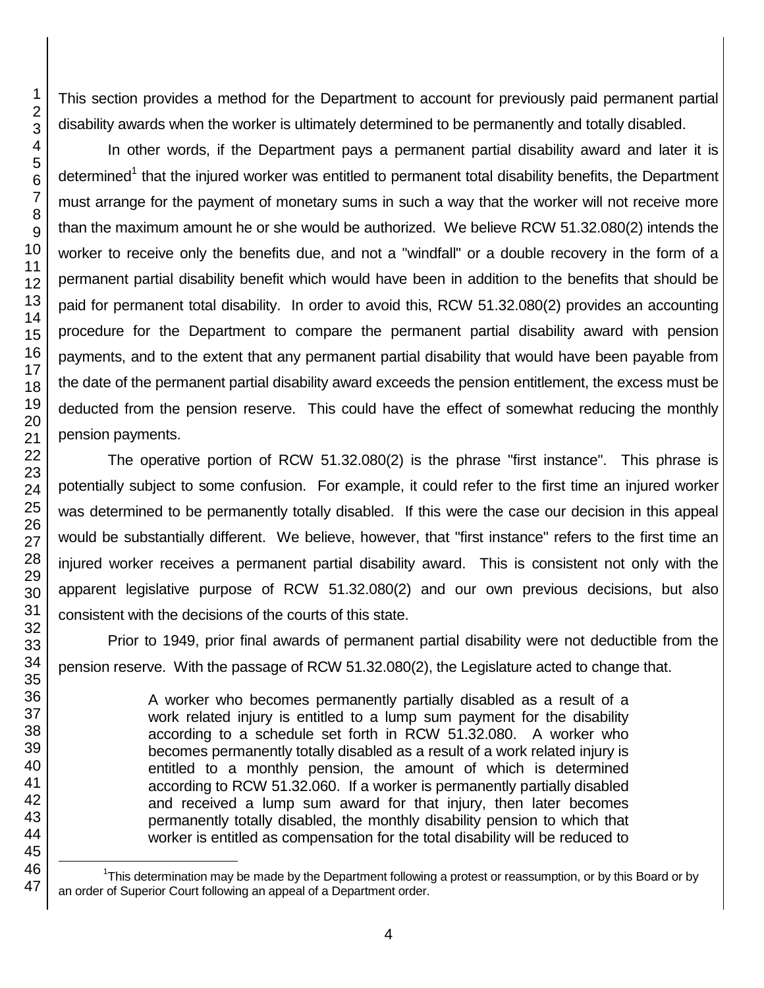This section provides a method for the Department to account for previously paid permanent partial disability awards when the worker is ultimately determined to be permanently and totally disabled.

In other words, if the Department pays a permanent partial disability award and later it is determined<sup>1</sup> that the injured worker was entitled to permanent total disability benefits, the Department must arrange for the payment of monetary sums in such a way that the worker will not receive more than the maximum amount he or she would be authorized. We believe RCW 51.32.080(2) intends the worker to receive only the benefits due, and not a "windfall" or a double recovery in the form of a permanent partial disability benefit which would have been in addition to the benefits that should be paid for permanent total disability. In order to avoid this, RCW 51.32.080(2) provides an accounting procedure for the Department to compare the permanent partial disability award with pension payments, and to the extent that any permanent partial disability that would have been payable from the date of the permanent partial disability award exceeds the pension entitlement, the excess must be deducted from the pension reserve. This could have the effect of somewhat reducing the monthly pension payments.

The operative portion of RCW 51.32.080(2) is the phrase "first instance". This phrase is potentially subject to some confusion. For example, it could refer to the first time an injured worker was determined to be permanently totally disabled. If this were the case our decision in this appeal would be substantially different. We believe, however, that "first instance" refers to the first time an injured worker receives a permanent partial disability award. This is consistent not only with the apparent legislative purpose of RCW 51.32.080(2) and our own previous decisions, but also consistent with the decisions of the courts of this state.

Prior to 1949, prior final awards of permanent partial disability were not deductible from the pension reserve. With the passage of RCW 51.32.080(2), the Legislature acted to change that.

> A worker who becomes permanently partially disabled as a result of a work related injury is entitled to a lump sum payment for the disability according to a schedule set forth in RCW 51.32.080. A worker who becomes permanently totally disabled as a result of a work related injury is entitled to a monthly pension, the amount of which is determined according to RCW 51.32.060. If a worker is permanently partially disabled and received a lump sum award for that injury, then later becomes permanently totally disabled, the monthly disability pension to which that worker is entitled as compensation for the total disability will be reduced to

l <sup>1</sup>This determination may be made by the Department following a protest or reassumption, or by this Board or by an order of Superior Court following an appeal of a Department order.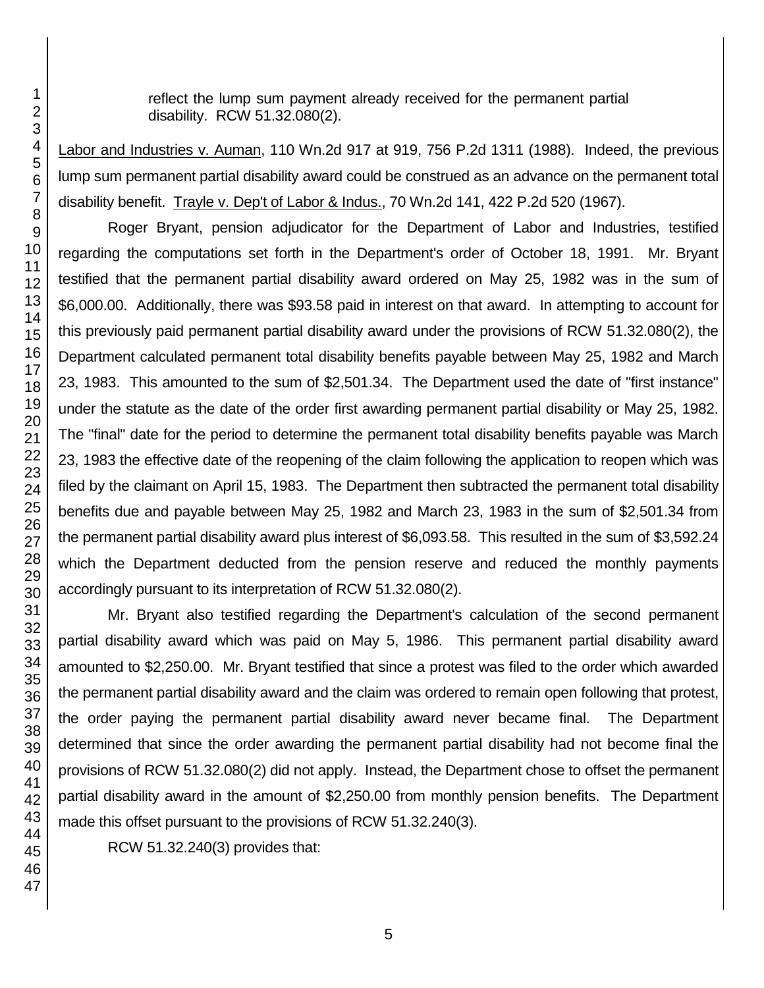reflect the lump sum payment already received for the permanent partial disability. RCW 51.32.080(2).

Labor and Industries v. Auman, 110 Wn.2d 917 at 919, 756 P.2d 1311 (1988). Indeed, the previous lump sum permanent partial disability award could be construed as an advance on the permanent total disability benefit. Trayle v. Dep't of Labor & Indus., 70 Wn.2d 141, 422 P.2d 520 (1967).

Roger Bryant, pension adjudicator for the Department of Labor and Industries, testified regarding the computations set forth in the Department's order of October 18, 1991. Mr. Bryant testified that the permanent partial disability award ordered on May 25, 1982 was in the sum of \$6,000.00. Additionally, there was \$93.58 paid in interest on that award. In attempting to account for this previously paid permanent partial disability award under the provisions of RCW 51.32.080(2), the Department calculated permanent total disability benefits payable between May 25, 1982 and March 23, 1983. This amounted to the sum of \$2,501.34. The Department used the date of "first instance" under the statute as the date of the order first awarding permanent partial disability or May 25, 1982. The "final" date for the period to determine the permanent total disability benefits payable was March 23, 1983 the effective date of the reopening of the claim following the application to reopen which was filed by the claimant on April 15, 1983. The Department then subtracted the permanent total disability benefits due and payable between May 25, 1982 and March 23, 1983 in the sum of \$2,501.34 from the permanent partial disability award plus interest of \$6,093.58. This resulted in the sum of \$3,592.24 which the Department deducted from the pension reserve and reduced the monthly payments accordingly pursuant to its interpretation of RCW 51.32.080(2).

Mr. Bryant also testified regarding the Department's calculation of the second permanent partial disability award which was paid on May 5, 1986. This permanent partial disability award amounted to \$2,250.00. Mr. Bryant testified that since a protest was filed to the order which awarded the permanent partial disability award and the claim was ordered to remain open following that protest, the order paying the permanent partial disability award never became final. The Department determined that since the order awarding the permanent partial disability had not become final the provisions of RCW 51.32.080(2) did not apply. Instead, the Department chose to offset the permanent partial disability award in the amount of \$2,250.00 from monthly pension benefits. The Department made this offset pursuant to the provisions of RCW 51.32.240(3).

RCW 51.32.240(3) provides that: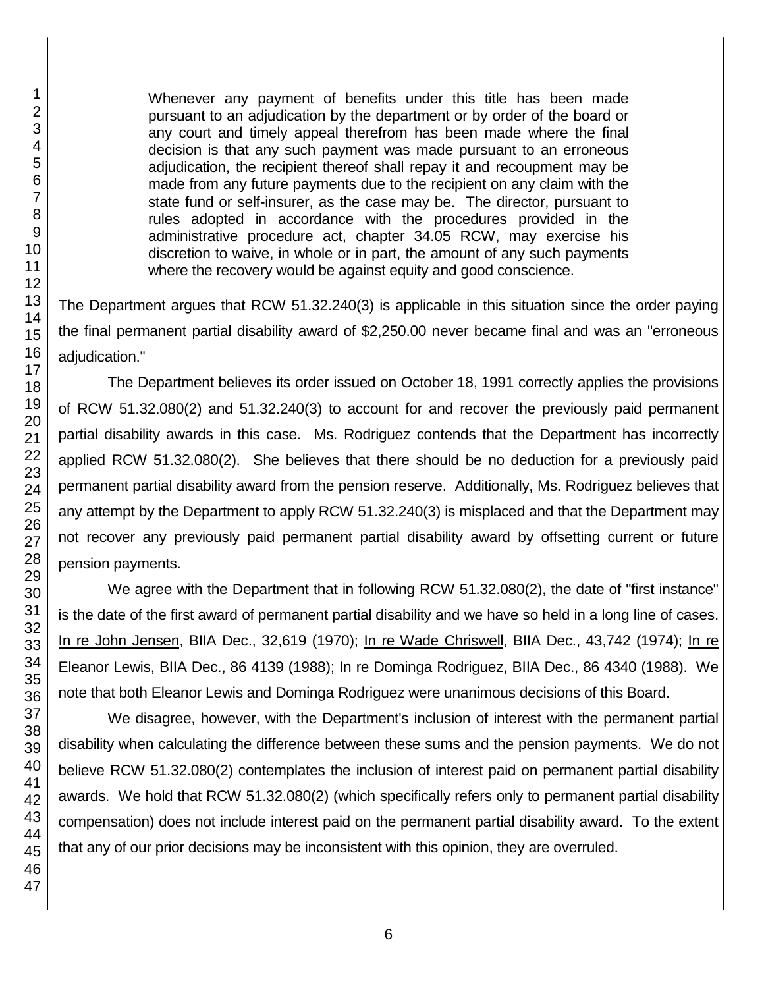Whenever any payment of benefits under this title has been made pursuant to an adjudication by the department or by order of the board or any court and timely appeal therefrom has been made where the final decision is that any such payment was made pursuant to an erroneous adjudication, the recipient thereof shall repay it and recoupment may be made from any future payments due to the recipient on any claim with the state fund or self-insurer, as the case may be. The director, pursuant to rules adopted in accordance with the procedures provided in the administrative procedure act, chapter 34.05 RCW, may exercise his discretion to waive, in whole or in part, the amount of any such payments where the recovery would be against equity and good conscience.

The Department argues that RCW 51.32.240(3) is applicable in this situation since the order paying the final permanent partial disability award of \$2,250.00 never became final and was an "erroneous adjudication."

The Department believes its order issued on October 18, 1991 correctly applies the provisions of RCW 51.32.080(2) and 51.32.240(3) to account for and recover the previously paid permanent partial disability awards in this case. Ms. Rodriguez contends that the Department has incorrectly applied RCW 51.32.080(2). She believes that there should be no deduction for a previously paid permanent partial disability award from the pension reserve. Additionally, Ms. Rodriguez believes that any attempt by the Department to apply RCW 51.32.240(3) is misplaced and that the Department may not recover any previously paid permanent partial disability award by offsetting current or future pension payments.

We agree with the Department that in following RCW 51.32.080(2), the date of "first instance" is the date of the first award of permanent partial disability and we have so held in a long line of cases. In re John Jensen, BIIA Dec., 32,619 (1970); In re Wade Chriswell, BIIA Dec., 43,742 (1974); In re Eleanor Lewis, BIIA Dec., 86 4139 (1988); In re Dominga Rodriguez, BIIA Dec., 86 4340 (1988). We note that both Eleanor Lewis and Dominga Rodriguez were unanimous decisions of this Board.

We disagree, however, with the Department's inclusion of interest with the permanent partial disability when calculating the difference between these sums and the pension payments. We do not believe RCW 51.32.080(2) contemplates the inclusion of interest paid on permanent partial disability awards. We hold that RCW 51.32.080(2) (which specifically refers only to permanent partial disability compensation) does not include interest paid on the permanent partial disability award. To the extent that any of our prior decisions may be inconsistent with this opinion, they are overruled.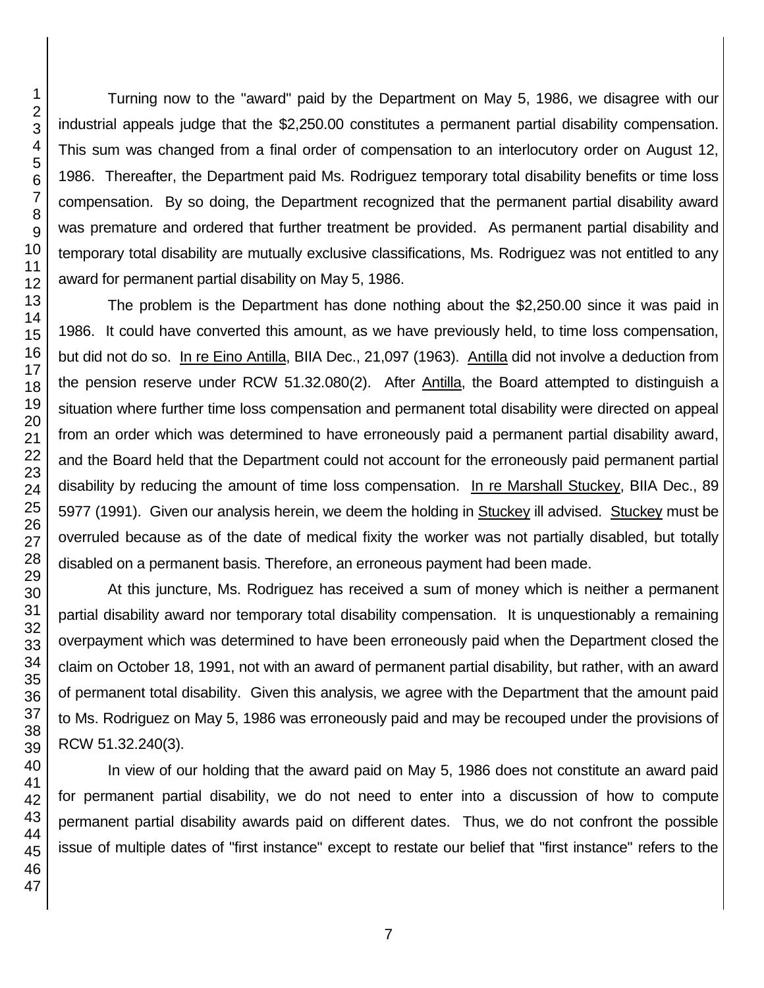Turning now to the "award" paid by the Department on May 5, 1986, we disagree with our industrial appeals judge that the \$2,250.00 constitutes a permanent partial disability compensation. This sum was changed from a final order of compensation to an interlocutory order on August 12, 1986. Thereafter, the Department paid Ms. Rodriguez temporary total disability benefits or time loss compensation. By so doing, the Department recognized that the permanent partial disability award was premature and ordered that further treatment be provided. As permanent partial disability and temporary total disability are mutually exclusive classifications, Ms. Rodriguez was not entitled to any award for permanent partial disability on May 5, 1986.

The problem is the Department has done nothing about the \$2,250.00 since it was paid in 1986. It could have converted this amount, as we have previously held, to time loss compensation, but did not do so. In re Eino Antilla, BIIA Dec., 21,097 (1963). Antilla did not involve a deduction from the pension reserve under RCW 51.32.080(2). After Antilla, the Board attempted to distinguish a situation where further time loss compensation and permanent total disability were directed on appeal from an order which was determined to have erroneously paid a permanent partial disability award, and the Board held that the Department could not account for the erroneously paid permanent partial disability by reducing the amount of time loss compensation. In re Marshall Stuckey, BIIA Dec., 89 5977 (1991). Given our analysis herein, we deem the holding in Stuckey ill advised. Stuckey must be overruled because as of the date of medical fixity the worker was not partially disabled, but totally disabled on a permanent basis. Therefore, an erroneous payment had been made.

At this juncture, Ms. Rodriguez has received a sum of money which is neither a permanent partial disability award nor temporary total disability compensation. It is unquestionably a remaining overpayment which was determined to have been erroneously paid when the Department closed the claim on October 18, 1991, not with an award of permanent partial disability, but rather, with an award of permanent total disability. Given this analysis, we agree with the Department that the amount paid to Ms. Rodriguez on May 5, 1986 was erroneously paid and may be recouped under the provisions of RCW 51.32.240(3).

In view of our holding that the award paid on May 5, 1986 does not constitute an award paid for permanent partial disability, we do not need to enter into a discussion of how to compute permanent partial disability awards paid on different dates. Thus, we do not confront the possible issue of multiple dates of "first instance" except to restate our belief that "first instance" refers to the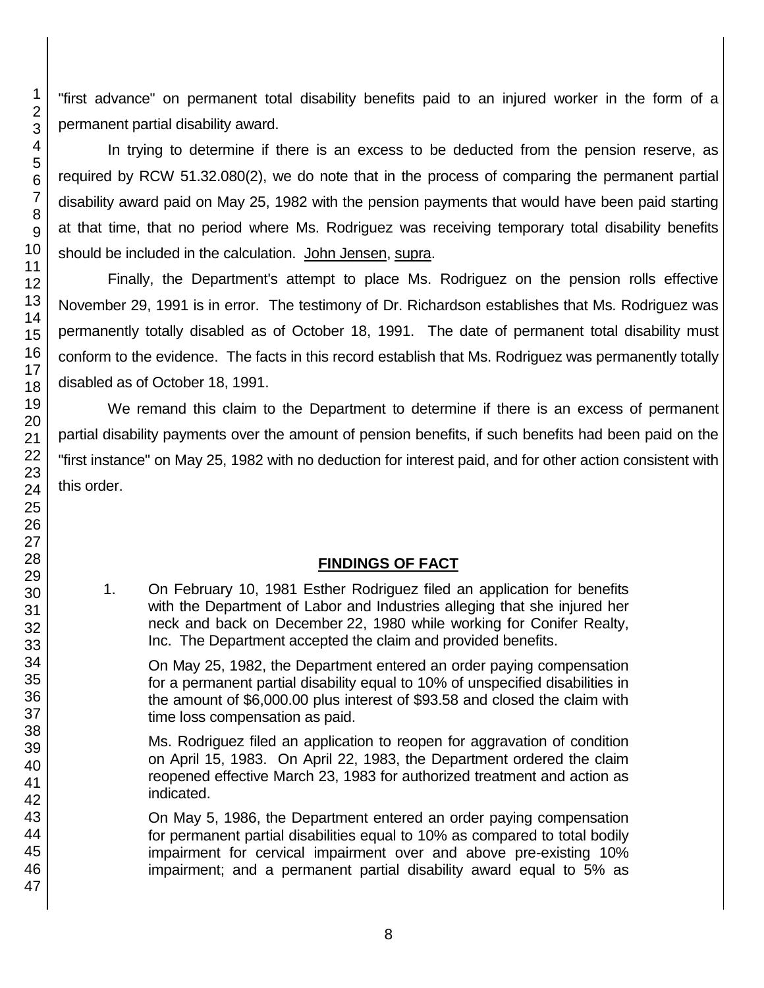"first advance" on permanent total disability benefits paid to an injured worker in the form of a permanent partial disability award.

In trying to determine if there is an excess to be deducted from the pension reserve, as required by RCW 51.32.080(2), we do note that in the process of comparing the permanent partial disability award paid on May 25, 1982 with the pension payments that would have been paid starting at that time, that no period where Ms. Rodriguez was receiving temporary total disability benefits should be included in the calculation. John Jensen, supra.

Finally, the Department's attempt to place Ms. Rodriguez on the pension rolls effective November 29, 1991 is in error. The testimony of Dr. Richardson establishes that Ms. Rodriguez was permanently totally disabled as of October 18, 1991. The date of permanent total disability must conform to the evidence. The facts in this record establish that Ms. Rodriguez was permanently totally disabled as of October 18, 1991.

We remand this claim to the Department to determine if there is an excess of permanent partial disability payments over the amount of pension benefits, if such benefits had been paid on the "first instance" on May 25, 1982 with no deduction for interest paid, and for other action consistent with this order.

# **FINDINGS OF FACT**

1. On February 10, 1981 Esther Rodriguez filed an application for benefits with the Department of Labor and Industries alleging that she injured her neck and back on December 22, 1980 while working for Conifer Realty, Inc. The Department accepted the claim and provided benefits.

On May 25, 1982, the Department entered an order paying compensation for a permanent partial disability equal to 10% of unspecified disabilities in the amount of \$6,000.00 plus interest of \$93.58 and closed the claim with time loss compensation as paid.

Ms. Rodriguez filed an application to reopen for aggravation of condition on April 15, 1983. On April 22, 1983, the Department ordered the claim reopened effective March 23, 1983 for authorized treatment and action as indicated.

On May 5, 1986, the Department entered an order paying compensation for permanent partial disabilities equal to 10% as compared to total bodily impairment for cervical impairment over and above pre-existing 10% impairment; and a permanent partial disability award equal to 5% as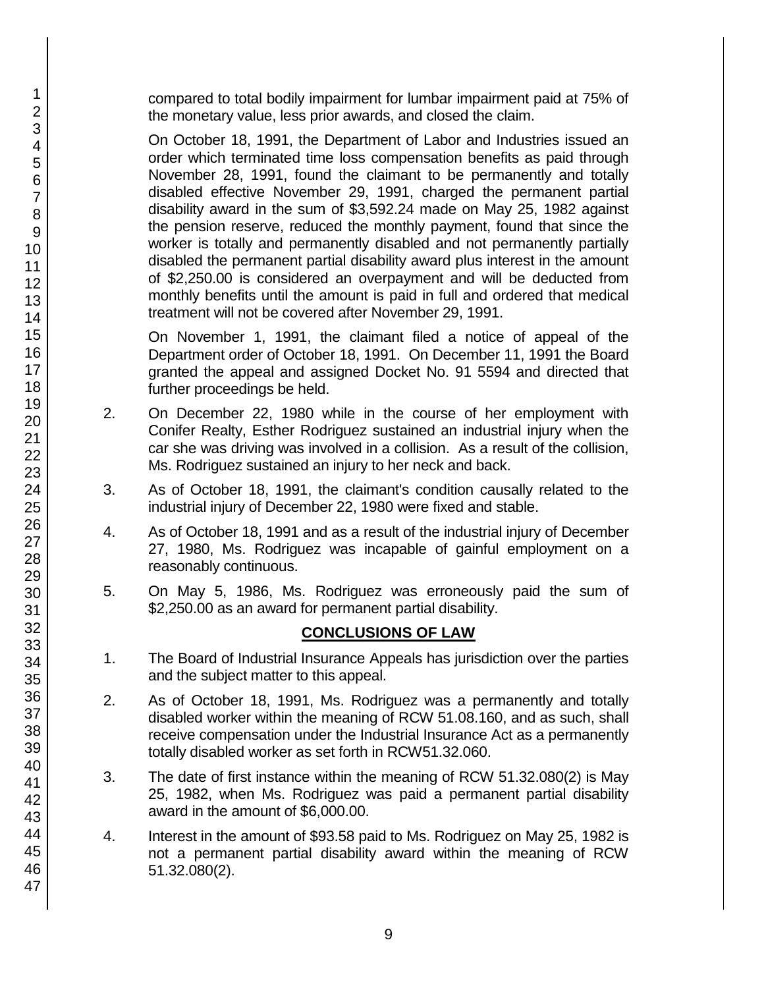compared to total bodily impairment for lumbar impairment paid at 75% of the monetary value, less prior awards, and closed the claim.

On October 18, 1991, the Department of Labor and Industries issued an order which terminated time loss compensation benefits as paid through November 28, 1991, found the claimant to be permanently and totally disabled effective November 29, 1991, charged the permanent partial disability award in the sum of \$3,592.24 made on May 25, 1982 against the pension reserve, reduced the monthly payment, found that since the worker is totally and permanently disabled and not permanently partially disabled the permanent partial disability award plus interest in the amount of \$2,250.00 is considered an overpayment and will be deducted from monthly benefits until the amount is paid in full and ordered that medical treatment will not be covered after November 29, 1991.

On November 1, 1991, the claimant filed a notice of appeal of the Department order of October 18, 1991. On December 11, 1991 the Board granted the appeal and assigned Docket No. 91 5594 and directed that further proceedings be held.

- 2. On December 22, 1980 while in the course of her employment with Conifer Realty, Esther Rodriguez sustained an industrial injury when the car she was driving was involved in a collision. As a result of the collision, Ms. Rodriguez sustained an injury to her neck and back.
- 3. As of October 18, 1991, the claimant's condition causally related to the industrial injury of December 22, 1980 were fixed and stable.
- 4. As of October 18, 1991 and as a result of the industrial injury of December 27, 1980, Ms. Rodriguez was incapable of gainful employment on a reasonably continuous.
- 5. On May 5, 1986, Ms. Rodriguez was erroneously paid the sum of \$2,250.00 as an award for permanent partial disability.

# **CONCLUSIONS OF LAW**

- 1. The Board of Industrial Insurance Appeals has jurisdiction over the parties and the subject matter to this appeal.
- 2. As of October 18, 1991, Ms. Rodriguez was a permanently and totally disabled worker within the meaning of RCW 51.08.160, and as such, shall receive compensation under the Industrial Insurance Act as a permanently totally disabled worker as set forth in RCW51.32.060.
- 3. The date of first instance within the meaning of RCW 51.32.080(2) is May 25, 1982, when Ms. Rodriguez was paid a permanent partial disability award in the amount of \$6,000.00.
- 4. Interest in the amount of \$93.58 paid to Ms. Rodriguez on May 25, 1982 is not a permanent partial disability award within the meaning of RCW 51.32.080(2).

1